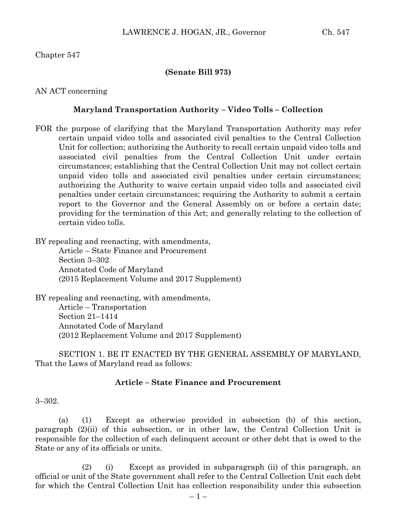## **(Senate Bill 973)**

AN ACT concerning

# **Maryland Transportation Authority – Video Tolls – Collection**

FOR the purpose of clarifying that the Maryland Transportation Authority may refer certain unpaid video tolls and associated civil penalties to the Central Collection Unit for collection; authorizing the Authority to recall certain unpaid video tolls and associated civil penalties from the Central Collection Unit under certain circumstances; establishing that the Central Collection Unit may not collect certain unpaid video tolls and associated civil penalties under certain circumstances; authorizing the Authority to waive certain unpaid video tolls and associated civil penalties under certain circumstances; requiring the Authority to submit a certain report to the Governor and the General Assembly on or before a certain date; providing for the termination of this Act; and generally relating to the collection of certain video tolls.

BY repealing and reenacting, with amendments,

Article – State Finance and Procurement Section 3–302 Annotated Code of Maryland (2015 Replacement Volume and 2017 Supplement)

BY repealing and reenacting, with amendments, Article – Transportation Section 21–1414 Annotated Code of Maryland (2012 Replacement Volume and 2017 Supplement)

SECTION 1. BE IT ENACTED BY THE GENERAL ASSEMBLY OF MARYLAND, That the Laws of Maryland read as follows:

## **Article – State Finance and Procurement**

3–302.

(a) (1) Except as otherwise provided in subsection (b) of this section, paragraph (2)(ii) of this subsection, or in other law, the Central Collection Unit is responsible for the collection of each delinquent account or other debt that is owed to the State or any of its officials or units.

(2) (i) Except as provided in subparagraph (ii) of this paragraph, an official or unit of the State government shall refer to the Central Collection Unit each debt for which the Central Collection Unit has collection responsibility under this subsection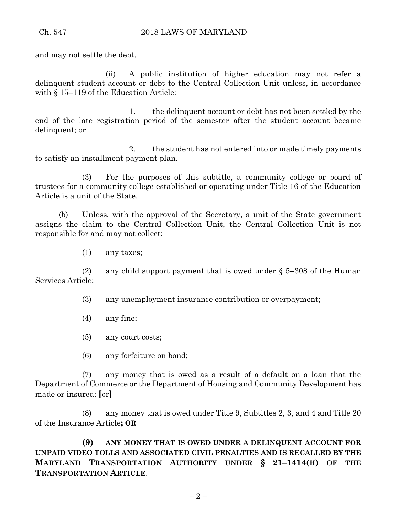and may not settle the debt.

(ii) A public institution of higher education may not refer a delinquent student account or debt to the Central Collection Unit unless, in accordance with § 15–119 of the Education Article:

1. the delinquent account or debt has not been settled by the end of the late registration period of the semester after the student account became delinquent; or

2. the student has not entered into or made timely payments to satisfy an installment payment plan.

(3) For the purposes of this subtitle, a community college or board of trustees for a community college established or operating under Title 16 of the Education Article is a unit of the State.

(b) Unless, with the approval of the Secretary, a unit of the State government assigns the claim to the Central Collection Unit, the Central Collection Unit is not responsible for and may not collect:

(1) any taxes;

(2) any child support payment that is owed under  $\S$  5–308 of the Human Services Article;

(3) any unemployment insurance contribution or overpayment;

(4) any fine;

(5) any court costs;

(6) any forfeiture on bond;

(7) any money that is owed as a result of a default on a loan that the Department of Commerce or the Department of Housing and Community Development has made or insured; **[**or**]**

(8) any money that is owed under Title 9, Subtitles 2, 3, and 4 and Title 20 of the Insurance Article**; OR**

**(9) ANY MONEY THAT IS OWED UNDER A DELINQUENT ACCOUNT FOR UNPAID VIDEO TOLLS AND ASSOCIATED CIVIL PENALTIES AND IS RECALLED BY THE MARYLAND TRANSPORTATION AUTHORITY UNDER § 21–1414(H) OF THE TRANSPORTATION ARTICLE**.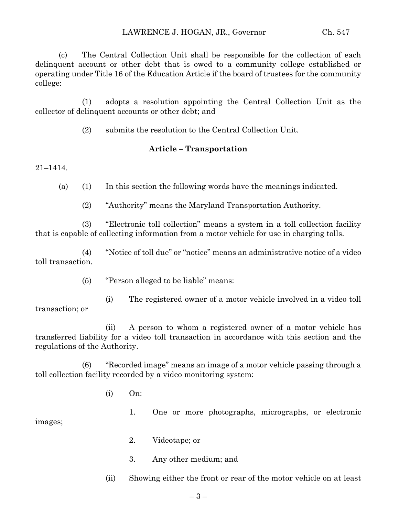(c) The Central Collection Unit shall be responsible for the collection of each delinquent account or other debt that is owed to a community college established or operating under Title 16 of the Education Article if the board of trustees for the community college:

(1) adopts a resolution appointing the Central Collection Unit as the collector of delinquent accounts or other debt; and

(2) submits the resolution to the Central Collection Unit.

## **Article – Transportation**

21–1414.

(a) (1) In this section the following words have the meanings indicated.

(2) "Authority" means the Maryland Transportation Authority.

(3) "Electronic toll collection" means a system in a toll collection facility that is capable of collecting information from a motor vehicle for use in charging tolls.

(4) "Notice of toll due" or "notice" means an administrative notice of a video toll transaction.

(5) "Person alleged to be liable" means:

(i) The registered owner of a motor vehicle involved in a video toll transaction; or

(ii) A person to whom a registered owner of a motor vehicle has transferred liability for a video toll transaction in accordance with this section and the regulations of the Authority.

(6) "Recorded image" means an image of a motor vehicle passing through a toll collection facility recorded by a video monitoring system:

(i) On:

images;

- 1. One or more photographs, micrographs, or electronic
- 2. Videotape; or
- 3. Any other medium; and

(ii) Showing either the front or rear of the motor vehicle on at least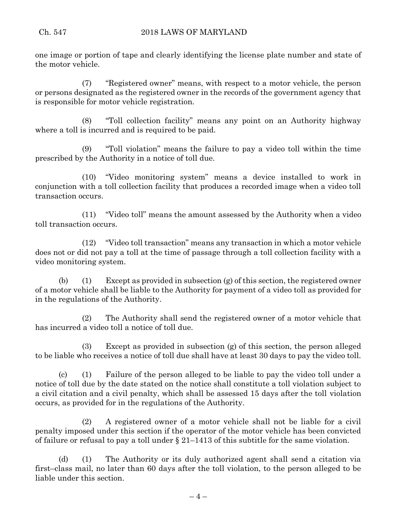one image or portion of tape and clearly identifying the license plate number and state of the motor vehicle.

(7) "Registered owner" means, with respect to a motor vehicle, the person or persons designated as the registered owner in the records of the government agency that is responsible for motor vehicle registration.

(8) "Toll collection facility" means any point on an Authority highway where a toll is incurred and is required to be paid.

(9) "Toll violation" means the failure to pay a video toll within the time prescribed by the Authority in a notice of toll due.

(10) "Video monitoring system" means a device installed to work in conjunction with a toll collection facility that produces a recorded image when a video toll transaction occurs.

(11) "Video toll" means the amount assessed by the Authority when a video toll transaction occurs.

(12) "Video toll transaction" means any transaction in which a motor vehicle does not or did not pay a toll at the time of passage through a toll collection facility with a video monitoring system.

(b) (1) Except as provided in subsection (g) of this section, the registered owner of a motor vehicle shall be liable to the Authority for payment of a video toll as provided for in the regulations of the Authority.

(2) The Authority shall send the registered owner of a motor vehicle that has incurred a video toll a notice of toll due.

(3) Except as provided in subsection (g) of this section, the person alleged to be liable who receives a notice of toll due shall have at least 30 days to pay the video toll.

(c) (1) Failure of the person alleged to be liable to pay the video toll under a notice of toll due by the date stated on the notice shall constitute a toll violation subject to a civil citation and a civil penalty, which shall be assessed 15 days after the toll violation occurs, as provided for in the regulations of the Authority.

(2) A registered owner of a motor vehicle shall not be liable for a civil penalty imposed under this section if the operator of the motor vehicle has been convicted of failure or refusal to pay a toll under § 21–1413 of this subtitle for the same violation.

(d) (1) The Authority or its duly authorized agent shall send a citation via first–class mail, no later than 60 days after the toll violation, to the person alleged to be liable under this section.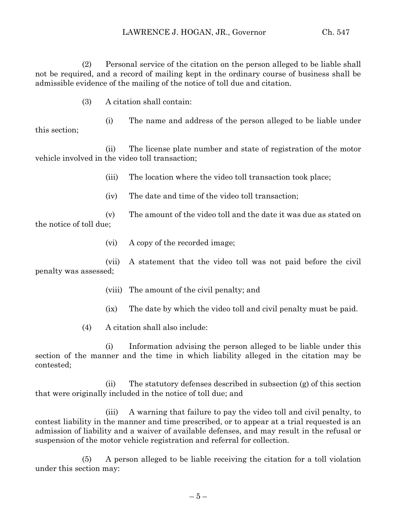(2) Personal service of the citation on the person alleged to be liable shall not be required, and a record of mailing kept in the ordinary course of business shall be admissible evidence of the mailing of the notice of toll due and citation.

(3) A citation shall contain:

(i) The name and address of the person alleged to be liable under this section;

(ii) The license plate number and state of registration of the motor vehicle involved in the video toll transaction;

- (iii) The location where the video toll transaction took place;
- (iv) The date and time of the video toll transaction;

(v) The amount of the video toll and the date it was due as stated on the notice of toll due;

(vi) A copy of the recorded image;

(vii) A statement that the video toll was not paid before the civil penalty was assessed;

- (viii) The amount of the civil penalty; and
- (ix) The date by which the video toll and civil penalty must be paid.
- (4) A citation shall also include:

(i) Information advising the person alleged to be liable under this section of the manner and the time in which liability alleged in the citation may be contested;

(ii) The statutory defenses described in subsection (g) of this section that were originally included in the notice of toll due; and

(iii) A warning that failure to pay the video toll and civil penalty, to contest liability in the manner and time prescribed, or to appear at a trial requested is an admission of liability and a waiver of available defenses, and may result in the refusal or suspension of the motor vehicle registration and referral for collection.

(5) A person alleged to be liable receiving the citation for a toll violation under this section may: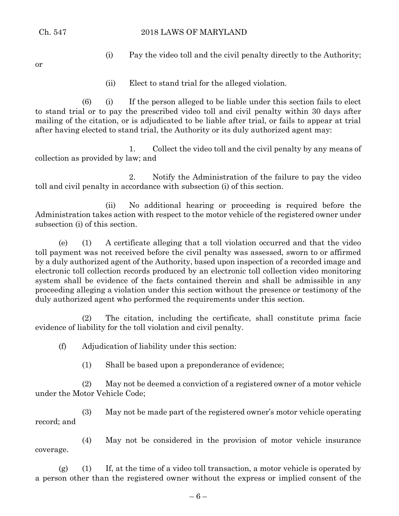Ch. 547 2018 LAWS OF MARYLAND

or

- (i) Pay the video toll and the civil penalty directly to the Authority;
- (ii) Elect to stand trial for the alleged violation.

(6) (i) If the person alleged to be liable under this section fails to elect to stand trial or to pay the prescribed video toll and civil penalty within 30 days after mailing of the citation, or is adjudicated to be liable after trial, or fails to appear at trial after having elected to stand trial, the Authority or its duly authorized agent may:

1. Collect the video toll and the civil penalty by any means of collection as provided by law; and

2. Notify the Administration of the failure to pay the video toll and civil penalty in accordance with subsection (i) of this section.

(ii) No additional hearing or proceeding is required before the Administration takes action with respect to the motor vehicle of the registered owner under subsection (i) of this section.

(e) (1) A certificate alleging that a toll violation occurred and that the video toll payment was not received before the civil penalty was assessed, sworn to or affirmed by a duly authorized agent of the Authority, based upon inspection of a recorded image and electronic toll collection records produced by an electronic toll collection video monitoring system shall be evidence of the facts contained therein and shall be admissible in any proceeding alleging a violation under this section without the presence or testimony of the duly authorized agent who performed the requirements under this section.

(2) The citation, including the certificate, shall constitute prima facie evidence of liability for the toll violation and civil penalty.

(f) Adjudication of liability under this section:

(1) Shall be based upon a preponderance of evidence;

(2) May not be deemed a conviction of a registered owner of a motor vehicle under the Motor Vehicle Code;

(3) May not be made part of the registered owner's motor vehicle operating record; and

(4) May not be considered in the provision of motor vehicle insurance coverage.

 $(g)$  (1) If, at the time of a video toll transaction, a motor vehicle is operated by a person other than the registered owner without the express or implied consent of the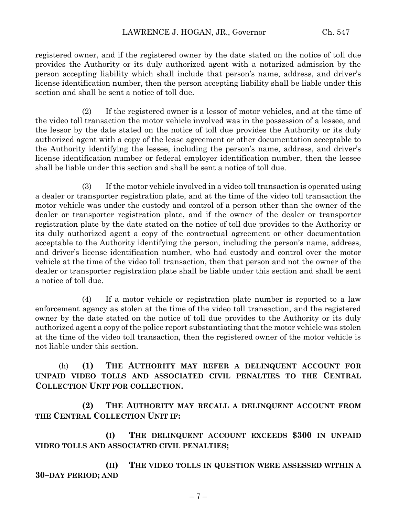registered owner, and if the registered owner by the date stated on the notice of toll due provides the Authority or its duly authorized agent with a notarized admission by the person accepting liability which shall include that person's name, address, and driver's license identification number, then the person accepting liability shall be liable under this section and shall be sent a notice of toll due.

(2) If the registered owner is a lessor of motor vehicles, and at the time of the video toll transaction the motor vehicle involved was in the possession of a lessee, and the lessor by the date stated on the notice of toll due provides the Authority or its duly authorized agent with a copy of the lease agreement or other documentation acceptable to the Authority identifying the lessee, including the person's name, address, and driver's license identification number or federal employer identification number, then the lessee shall be liable under this section and shall be sent a notice of toll due.

(3) If the motor vehicle involved in a video toll transaction is operated using a dealer or transporter registration plate, and at the time of the video toll transaction the motor vehicle was under the custody and control of a person other than the owner of the dealer or transporter registration plate, and if the owner of the dealer or transporter registration plate by the date stated on the notice of toll due provides to the Authority or its duly authorized agent a copy of the contractual agreement or other documentation acceptable to the Authority identifying the person, including the person's name, address, and driver's license identification number, who had custody and control over the motor vehicle at the time of the video toll transaction, then that person and not the owner of the dealer or transporter registration plate shall be liable under this section and shall be sent a notice of toll due.

(4) If a motor vehicle or registration plate number is reported to a law enforcement agency as stolen at the time of the video toll transaction, and the registered owner by the date stated on the notice of toll due provides to the Authority or its duly authorized agent a copy of the police report substantiating that the motor vehicle was stolen at the time of the video toll transaction, then the registered owner of the motor vehicle is not liable under this section.

(h) **(1) THE AUTHORITY MAY REFER A DELINQUENT ACCOUNT FOR UNPAID VIDEO TOLLS AND ASSOCIATED CIVIL PENALTIES TO THE CENTRAL COLLECTION UNIT FOR COLLECTION.**

**(2) THE AUTHORITY MAY RECALL A DELINQUENT ACCOUNT FROM THE CENTRAL COLLECTION UNIT IF:**

**(I) THE DELINQUENT ACCOUNT EXCEEDS \$300 IN UNPAID VIDEO TOLLS AND ASSOCIATED CIVIL PENALTIES;**

**(II) THE VIDEO TOLLS IN QUESTION WERE ASSESSED WITHIN A 30–DAY PERIOD; AND**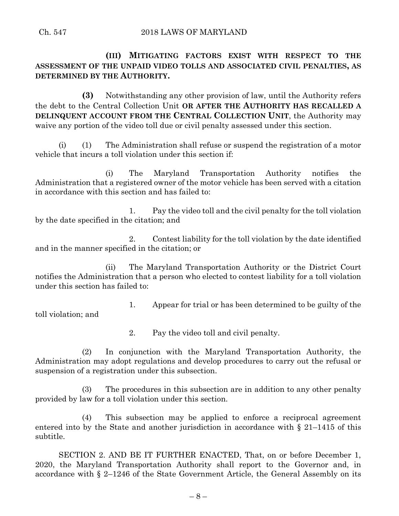**(III) MITIGATING FACTORS EXIST WITH RESPECT TO THE ASSESSMENT OF THE UNPAID VIDEO TOLLS AND ASSOCIATED CIVIL PENALTIES, AS DETERMINED BY THE AUTHORITY.**

**(3)** Notwithstanding any other provision of law, until the Authority refers the debt to the Central Collection Unit **OR AFTER THE AUTHORITY HAS RECALLED A DELINQUENT ACCOUNT FROM THE CENTRAL COLLECTION UNIT**, the Authority may waive any portion of the video toll due or civil penalty assessed under this section.

(i) (1) The Administration shall refuse or suspend the registration of a motor vehicle that incurs a toll violation under this section if:

(i) The Maryland Transportation Authority notifies the Administration that a registered owner of the motor vehicle has been served with a citation in accordance with this section and has failed to:

1. Pay the video toll and the civil penalty for the toll violation by the date specified in the citation; and

2. Contest liability for the toll violation by the date identified and in the manner specified in the citation; or

(ii) The Maryland Transportation Authority or the District Court notifies the Administration that a person who elected to contest liability for a toll violation under this section has failed to:

1. Appear for trial or has been determined to be guilty of the toll violation; and

2. Pay the video toll and civil penalty.

(2) In conjunction with the Maryland Transportation Authority, the Administration may adopt regulations and develop procedures to carry out the refusal or suspension of a registration under this subsection.

(3) The procedures in this subsection are in addition to any other penalty provided by law for a toll violation under this section.

(4) This subsection may be applied to enforce a reciprocal agreement entered into by the State and another jurisdiction in accordance with § 21–1415 of this subtitle.

SECTION 2. AND BE IT FURTHER ENACTED, That, on or before December 1, 2020, the Maryland Transportation Authority shall report to the Governor and, in accordance with § 2–1246 of the State Government Article, the General Assembly on its